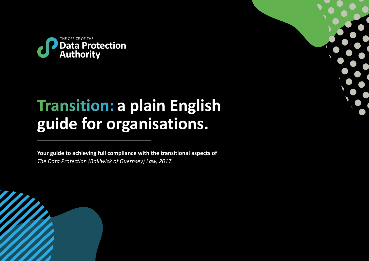

# **Transition: a plain English guide for organisations.**

**Your guide to achieving full compliance with the transitional aspects of**  *The Data Protection (Bailiwick of Guernsey) Law, 2017.*



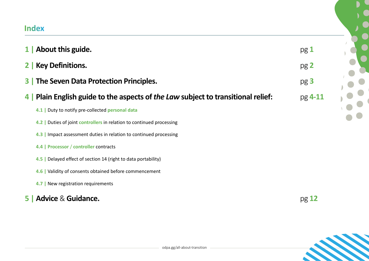# **Index**

|     | 1 About this guide.                                                           | pg1              |
|-----|-------------------------------------------------------------------------------|------------------|
|     | 2   Key Definitions.                                                          | pg 2             |
|     | <b>3</b> The Seven Data Protection Principles.                                | pg <sub>3</sub>  |
| 4 I | Plain English guide to the aspects of the Law subject to transitional relief: | $pg$ <b>4-11</b> |
|     | 4.1   Duty to notify pre-collected personal data                              |                  |
|     | 4.2   Duties of joint controllers in relation to continued processing         |                  |
|     | 4.3   Impact assessment duties in relation to continued processing            |                  |
|     | 4.4   Processor / controller contracts                                        |                  |
|     | 4.5   Delayed effect of section 14 (right to data portability)                |                  |
|     | 4.6   Validity of consents obtained before commencement                       |                  |
|     | 4.7   New registration requirements                                           |                  |
| 5   | <b>Advice &amp; Guidance.</b><br>pg <sub>12</sub>                             |                  |

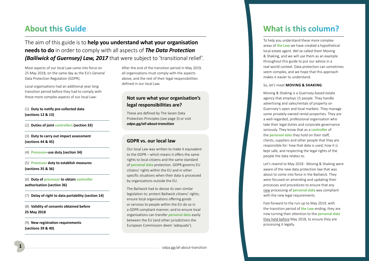# <span id="page-2-0"></span>**About this Guide**

The aim of this guide is to **help you understand what your organisation needs to do** in order to comply with all aspects of *The Data Protection (Bailiwick of Guernsey) Law, 2017* that were subject to 'transitional relief'.

Most aspects of our local Law came into force on 25 May 2018, on the same day as the EU's General Data Protection Regulation (GDPR).

Local organisations had an additional year long transition period before they had to comply with these more complex aspects of our local Law:

#### (1) **Duty to notify pre-collected data (sections 12 & 13)**

(2) **Duties of joint controllers (section 33)** 

(3) **Duty to carry out impact assessment (sections 44 & 45)**

(4) **Processor-use duty (section 34)** 

(5) **Processor duty to establish measures (sections 35 & 36)** 

(6) **Duty of processor to obtain controller authorisation (section 36)** 

(7) **Delay of right to data portability (section 14)** 

(8) **Validity of consents obtained before 25 May 2018** 

(9) **New registration requirements (sections 39 & 40)** 

After the end of the transition period in May 2019, all organisations must comply with the aspects above, and the rest of their legal responsibilities defined in our local Law.

# **Not sure what your organisation's legal responsibilities are?**

These are defined by The Seven Data Protection Principles (see page 3) or visit *[odpa.gg/all-about-transition](https://odpa.gg/all-about-transition/)*

### **GDPR vs. our local law**

Our local Law was written to make it equivalent to the GDPR – which means it offers the same rights to local citizens and the same standard of **personal data** protection. GDPR governs EU citizens' rights within the EU and in other specific situations when their data is processed by organisations outside the EU.

The Bailiwick had to devise its own similar legislation to: protect Bailiwick citizens' rights; ensure local organisations offering goods or services to people within the EU do so in a GDPR compliant manner; and to ensure local organisations can transfer **personal data** easily between the EU (and other jurisdictions the European Commission deem 'adequate').

# What is this column?

To help you understand these more complex areas of **the Law** we have created a hypothetical local estate agent. We've called them Moving & Shaking, and we will use them as an example throughout this guide to put our advice in a real-world context. Data protection can sometimes seem complex, and we hope that this approach makes it easier to understand.

#### So, let's meet **MOVING & SHAKING**:

Moving & Shaking is a Guernsey-based estate agency that employs 15 people. They handle advertising and sales/rentals of property on Guernsey's open and local markets. They manage some privately-owned rental properties. They are a well-regarded, professional organisation who take their legal duties and corporate governance seriously. They know that as a **controller** of the **personal data** they hold on their staff, clients, suppliers and other people that they are responsible for: how that data is used, how it is kept safe, and respecting the legal rights of the people the data relates to.

Let's rewind to May 2018 - Moving & Shaking were aware of the new data protection law that was about to come into force in the Bailiwick. They were focused on amending and updating their processes and procedures to ensure that any new processing of **personal data** was compliant with the new legal requirements.

Fast-forward to the run-up to May 2019, with the transition period of **the Law** ending, they are now turning their attention to the **personal data** they held before May 2018, to ensure they are processing it legally.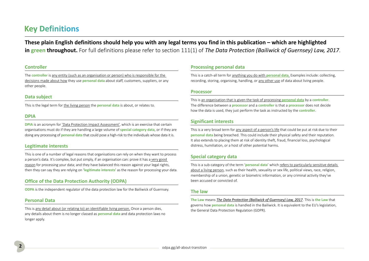# <span id="page-3-0"></span>**Key Definitions**

**These plain English definitions should help you with any legal terms you find in this publication – which are highlighted in green throughout.** For full definitions please refer to section 111(1) of *The Data Protection (Bailiwick of Guernsey) Law, 2017*.

### **Controller**

The **controller** is any entity (such as an organisation or person) who is responsible for the decisions made about how they use **personal data** about staff, customers, suppliers, or any other people.

#### **Data subject**

This is the legal term for the living person the **personal data** is about, or relates to.

#### **DPIA**

**DPIA** is an acronym for *'Data Protection Impact Assessment'*, which is an exercise that certain organisations must do if they are handling a large volume of **special category data**, or if they are doing any processing of **personal data** that could pose a high-risk to the individuals whose data it is.

#### **Legitimate interests**

This is one of a number of legal reasons that organisations can rely on when they want to process a person's data. It's complex, but put simply, if an organisation can: prove it has a very good reason for processing your data; and they have balanced this reason against your legal rights, then they can say they are relying on '**legitimate interests**' as the reason for processing your data.

### **Office of the Data Protection Authority (ODPA)**

**ODPA** is the independent regulator of the data protection law for the Bailiwick of Guernsey.

#### **Personal Data**

This is any detail about (or relating to) an identifiable living person. Once a person dies, any details about them is no longer classed as **personal data** and data protection laws no longer apply.

### **Processing personal data**

This is a catch-all term for anything you do with **personal data**. Examples include: collecting, recording, storing, organising, handling, or any other use of data about living people.

#### **Processor**

This is an organisation that is given the task of processing **personal data** by a **controller**. The difference between a **processor** and a **controller** is that a **processor** does not decide how the data is used, they just perform the task as instructed by the **controller**.

### **Significant interests**

This is a very broad term for any aspect of a person's life that could be put at risk due to their **personal data** being breached. This could include their physical safety and their reputation. It also extends to placing them at risk of identity theft, fraud, financial loss, psychological distress, humiliation, or a host of other potential harms.

### **Special category data**

This is a sub-category of the term '**personal data**' which refers to particularly sensitive details about a living person, such as their health, sexuality or sex life, political views, race, religion, membership of a union, genetic or biometric information, or any criminal activity they've been accused or convicted of.

#### **The law**

**The Law** means *The Data Protection (Bailiwick of Guernsey) Law, 2017*. This is **the Law** that governs how **personal data** is handled in the Bailiwick. It is equivalent to the EU's legislation, the General Data Protection Regulation (GDPR).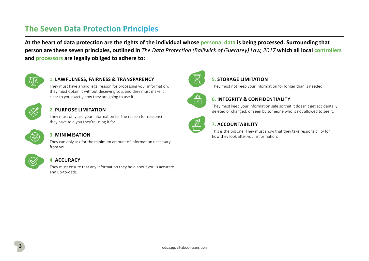# <span id="page-4-0"></span>**The Seven Data Protection Principles**

**At the heart of data protection are the rights of the individual whose personal data is being processed. Surrounding that person are these seven principles, outlined in** *The Data Protection (Bailiwick of Guernsey) Law, 2017* **which all local controllers and processors are legally obliged to adhere to:** 



# **1. LAWFULNESS, FAIRNESS & TRANSPARENCY**

They must have a valid legal reason for processing your information, they must obtain it without deceiving you, and they must make it clear to you exactly how they are going to use it.



# **2. PURPOSE LIMITATION**

They must only use your information for the reason (or reasons) they have told you they're using it for.



### **3. MINIMISATION**

They can only ask for the minimum amount of information necessary from you.



### **4. ACCURACY**

They must ensure that any information they hold about you is accurate and up-to-date.



### **5. STORAGE LIMITATION**

They must not keep your information for longer than is needed.



# **6. INTEGRITY & CONFIDENTIALITY**

They must keep your information safe so that it doesn't get accidentally deleted or changed, or seen by someone who is not allowed to see it.



# **7. ACCOUNTABILITY**

This is the big one. They must show that they take responsibility for how they look after your information.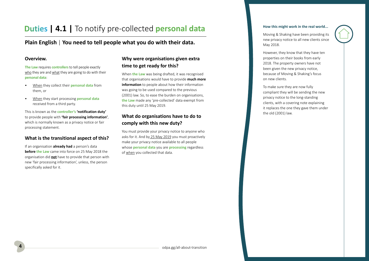# <span id="page-5-0"></span>**Duties | 4.1 | To notify pre-collected personal data**

# **Plain English** | **You need to tell people what you do with their data.**

### **Overview.**

**The Law** requires **controllers**to tell people exactly who they are and what they are going to do with their **personal data**:

- When they collect their **personal data** from them, or
- When they start processing **personal data** received from a third party.

This is known as the **controller's 'notification duty'** to provide people with **'fair processing information'**, which is normally known as a privacy notice or fair processing statement.

# **What is the transitional aspect of this?**

If an organisation **already had** a person's data **before the Law** came into force on 25 May 2018 the organisation did **not** have to provide that person with new 'fair processing information', unless, the person specifically asked for it.

# **Why were organisations given extra time to get ready for this?**

When **the Law** was being drafted, it was recognised that organisations would have to provide **much more information** to people about how their information was going to be used compared to the previous (2001) law. So, to ease the burden on organisations, **the Law** made any 'pre-collected' data exempt from this duty until 25 May 2019.

# **What do organisations have to do to comply with this new duty?**

You must provide your privacy notice to anyone who asks for it. And by 25 May 2019 you must proactively make your privacy notice available to all people whose **personal data** you are **processing** regardless of when you collected that data.

#### **How this might work in the real world...**

Moving & Shaking have been providing its new privacy notice to all new clients since May 2018.

However, they know that they have ten properties on their books from early 2018. The property owners have not been given the new privacy notice, because of Moving & Shaking's focus on new clients.

To make sure they are now fully compliant they will be sending the new privacy notice to the long-standing clients, with a covering note explaining it replaces the one they gave them under the old (2001) law.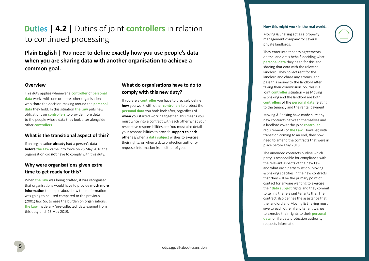# <span id="page-6-0"></span>**Duties | 4.2 | Duties of joint controllers in relation** to continued processing

**Plain English** | **You need to define exactly how you use people's data when you are sharing data with another organisation to achieve a common goal.** 

#### **Overview**

This duty applies whenever a **controller** of **personal data** works with one or more other organisations who share the decision-making around the **personal data** they hold. In this situation **the Law** puts new obligations on **controllers** to provide more detail to the people whose data they look after alongside other **controllers**.

### **What is the transitional aspect of this?**

If an organisation **already had** a person's data **before the Law** came into force on 25 May 2018 the organisation did **not** have to comply with this duty.

# **Why were organisations given extra time to get ready for this?**

When **the Law** was being drafted, it was recognised that organisations would have to provide **much more information** to people about how their information was going to be used compared to the previous (2001) law. So, to ease the burden on organisations, **the Law** made any 'pre-collected' data exempt from this duty until 25 May 2019.

# **What do organisations have to do to comply with this new duty?**

If you are a **controller** you have to precisely define **how** you work with other **controllers** to protect the **personal data** you both look after, regardless of **when** you started working together. This means you must write into a contract with each other **what** your respective responsibilities are. You must also detail your responsibilities to provide **support to each other** as/when a **data subject** wishes to exercise their rights, or when a data protection authority requests information from either of you.

#### **How this might work in the real world...**

Moving & Shaking act as a property management company for several private landlords.

They enter into tenancy agreements on the landlord's behalf, deciding what **personal data** they need for this and sharing that data with the relevant landlord. They collect rent for the landlord and chase any arrears, and pass this money to the landlord after taking their commission. So, this is a joint **controller** situation – as Moving & Shaking and the landlord are both **controllers** of the **personal data** relating to the tenancy and the rental payment.

Moving & Shaking have made sure any new contracts between themselves and a landlord cover the joint **controller**  requirements of **the Law**. However, with transition coming to an end, they now need to amend the contracts that were in place before May 2018.

The amended contracts outline which party is responsible for compliance with the relevant aspects of the new Law and what each party must do. Moving & Shaking specifies in the new contracts that they will be the primary point of contact for anyone wanting to exercise their **data subject** rights and they commit to telling the relevant tenants this. The contract also defines the assistance that the landlord and Moving & Shaking must give to each other if any tenant wishes to exercise their rights to their **personal data**, or if a data protection authority requests information.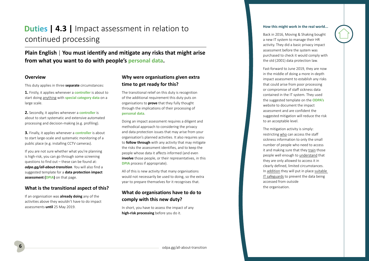# <span id="page-7-0"></span>**Duties | 4.3 | Impact assessment in relation to** continued processing

**Plain English** | **You must identify and mitigate any risks that might arise from what you want to do with people's personal data.** 

#### **Overview**

This duty applies in three **separate** circumstances:

**1.** Firstly, it applies whenever a **controller** is about to start doing anything with **special category data** on a large scale.

**2.** Secondly, it applies whenever a **controller** is about to start systematic and extensive automated processing and decision-making (e.g. profiling).

**3.** Finally, it applies whenever a **controller** is about to start large-scale and systematic monitoring of a public place (e.g. installing CCTV cameras).

If you are not sure whether what you're planning is high-risk, you can go through some screening questions to find out – these can be found at: *[odpa.gg/all-about-transition](https://odpa.gg/all-about-transition/)*. You will also find a suggested template for a **data protection impact assessment (DPIA)** on that page.

#### **What is the transitional aspect of this?**

If an organisation was **already doing** any of the activities above they wouldn't have to do impact assessments **until** 25 May 2019.

# **Why were organisations given extra time to get ready for this?**

The transitional relief on this duty is recognition of the additional requirement this duty puts on organisations to **prove** that they fully thought through the implications of their processing of **personal data**.

Doing an impact assessment requires a diligent and methodical approach to considering the privacy and data protection issues that may arise from your organisation's planned activities. It also requires you to **follow through** with any activity that may mitigate the risks the assessment identifies, and to keep the people whose data it affects informed (and even **involve** those people, or their representatives, in this **DPIA** process if appropriate).

All of this is new activity that many organisations would not necessarily be used to doing, so the extra year to prepare themselves for it recognises that.

# **What do organisations have to do to comply with this new duty?**

In short, you have to assess the impact of any **high-risk processing** before you do it.

#### **How this might work in the real world...**

Back in 2016, Moving & Shaking bought a new IT system to manage their HR activity. They did a basic privacy impact assessment before the system was purchased to check it would comply with the old (2001) data protection law.

Fast-forward to June 2019, they are now in the middle of doing a more in-depth impact assessment to establish any risks that could arise from poor processing or compromise of staff sickness data contained in the IT system. They used the suggested template on the **ODPA's** website to document the impact assessment and are confident the suggested mitigation will reduce the risk to an acceptable level.

The mitigation activity is simply: restricting who can access the staff sickness information to only the small number of people who need to access it and making sure that they train those people well enough to understand that they are only allowed to access it in clearly defined, limited circumstances. In addition they will put in place suitable IT safeguards to prevent the data being accessed from outside the organisation.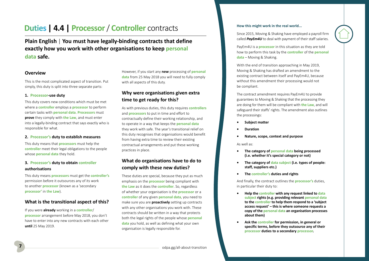# <span id="page-8-0"></span>**Duties | 4.4 | Processor / Controller** contracts

**Plain English** | **You must have legally-binding contracts that define exactly how you work with other organisations to keep personal data safe.** 

### **Overview**

This is the most complicated aspect of transition. Put simply, this duty is split into three separate parts:

#### **1. Processor-use duty**

This duty covers new conditions which must be met where a **controller** employs a **processor** to perform certain tasks with **personal data**. **Processors** must **prove** they comply with **the Law**, and must enter into a legally-binding contract that says exactly who is responsible for what.

#### **2. Processor's duty to establish measures**

This duty means that **processors** must help the **controller** meet their legal obligations to the people whose **personal data** they hold.

### **3. Processor's duty to obtain controller authorisations**

This duty means **processors** must get the **controller's** permission before it outsources any of its work to another **processor** (known as a 'secondary **processor'** in **the Law**).

### **What is the transitional aspect of this?**

If you were **already** working in a **controller**/ **processor** arrangement before May 2018, you don't have to enter into any new contracts with each other **until** 25 May 2019.

However, if you start any **new** processing of **personal data** from 25 May 2018 you will need to fully comply with all aspects of this duty.

# **Why were organisations given extra time to get ready for this?**

As with previous duties, this duty requires **controllers** and **processors** to put in time and effort to contractually define their working relationship, and to operate in a way that keeps the **personal data** they work with safe. The year's transitional relief on this duty recognises that organisations would benefit from having extra time to review their existing contractual arrangements and put these working practices in place.

# **What do organisations have to do to comply with these new duties?**

These duties are special, because they put as much emphasis on the **processor** being compliant with **the Law** as it does the **controller**. So, regardless of whether your organisation is the **processor** or a **controller** of any given **personal data**, you need to make sure you are **proactively** setting up contracts with any other organisations you work with. These contracts should be written in a way that protects both the legal rights of the people whose **personal data** you hold, as well as defining what your own organisation is legally responsible for.

#### **How this might work in the real world...**

Since 2015, Moving & Shaking have employed a payroll firm called *PayEm4U* to deal with payment of their staff salaries.

PayEm4U is a **processor** in this situation as they are told how to perform this task by the **controller** of the **personal data** – Moving & Shaking.

With the end of transition approaching in May 2019, Moving & Shaking has drafted an amendment to the existing contract between itself and PayEm4U, because without this amendment their processing would not be compliant.

The contract amendment requires PayEm4U to provide guarantees to Moving & Shaking that the processing they are doing for them will be compliant with **the Law**, and will safeguard their staffs' rights. The amendment also outlines the processings:

- **• Subject matter**
- **• Duration**
- **• Nature, scope, context and purpose**

#### As well as:

- **• The category of personal data being processed (i.e. whether it's special category or not)**
- **• The category of data subject (i.e. types of people: staff, suppliers etc.)**
- **• The controller's duties and rights**

And finally, the contract outlines the **processor's** duties, in particular their duty to:

- **• Help the controller with any request linked to data subject rights (e.g. providing relevant personal data to the controller to help them respond to a 'subject access request' – this is where someone requests a copy of the personal data an organisation processes about them)**
- **• Ask the controller for permission, in general or specific terms, before they outsource any of their processor duties to a secondary processor.**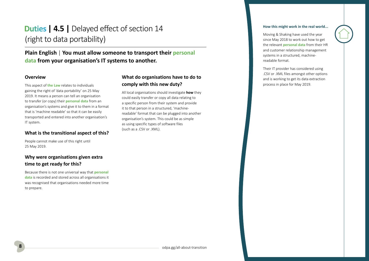# <span id="page-9-0"></span>**Duties | 4.5 | Delayed effect of section 14** (right to data portability)

# **Plain English** | **You must allow someone to transport their personal data from your organisation's IT systems to another.**

### **Overview**

This aspect of **the Law** relates to individuals gaining the right of 'data portability' on 25 May 2019. It means a person can tell an organisation to transfer (or copy) their **personal data** from an organisation's systems and give it to them in a format that is 'machine readable' so that it can be easily transported and entered into another organisation's IT system.

### **What is the transitional aspect of this?**

People cannot make use of this right until 25 May 2019.

# **Why were organisations given extra time to get ready for this?**

Because there is not one universal way that **personal data** is recorded and stored across all organisations it was recognised that organisations needed more time to prepare.

# **What do organisations have to do to comply with this new duty?**

All local organisations should investigate **how** they could easily transfer or copy all data relating to a specific person from their system and provide it to that person in a structured, 'machinereadable' format that can be plugged into another organisation's system. This could be as simple as using specific types of software files (such as a .CSV or .XML).

#### **How this might work in the real world...**

Moving & Shaking have used the year since May 2018 to work out how to get the relevant **personal data** from their HR and customer relationship management systems in a structured, machinereadable format.

Their IT provider has considered using .CSV or .XML files amongst other options and is working to get its data extraction process in place for May 2019.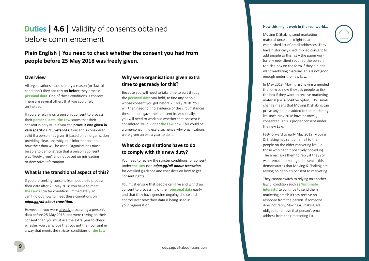# <span id="page-10-0"></span>**Duties | 4.6 | Validity of consents obtained** before commencement

# **Plain English** | **You need to check whether the consent you had from people before 25 May 2018 was freely given.**

#### **Overview**

All organisations must identify a reason (or 'lawful condition') they can rely on **before** they process **personal data**. One of these conditions is consent. There are several others that you could rely on instead.

If you are relying on a person's consent to process their **personal data**, **the Law** states that their consent is only valid if you can **prove it was given in very specific circumstances.** Consent is considered valid if a person has given it based on an organisation providing clear, unambiguous information about how their data will be used. Organisations must be able to demonstrate that a person's consent was 'freely given', and not based on misleading or deceptive information.

#### **What is the transitional aspect of this?**

If you are seeking consent from people to process their data after 25 May 2018 you have to meet **the Law's** stricter conditions immediately. You can find out how to meet these conditions on *[odpa.gg/all-about-transition](https://odpa.gg/all-about-transition/).* 

However, if you were already processing a person's data before 25 May 2018, and were relying on their consent then you must use the extra year to check whether you can prove that you got their consent in a way that meets the stricter conditions of **the Law**.

# **Why were organisations given extra time to get ready for this?**

Because you will need to take time to sort through the **personal data** you hold, to find any people whose consent you got before 25 May 2018. You will then need to find evidence of the circumstances these people gave their consent in. And finally, you will need to work out whether that consent is considered 'valid' under **the Law** now. This could be a time-consuming exercise, hence why organisations were given an extra year to do it.

# **What do organisations have to do to comply with this new duty?**

You need to review the stricter conditions for consent under **the Law** (see *[odpa.gg/all-about-transition](https://odpa.gg/all-about-transition/)* for detailed guidance and checklists on how to get consent right).

You must ensure that people can give and withdraw consent to processing of their **personal data** easily, and that they have genuine ongoing choice and control over how their data is being used in your organisation.

#### **How this might work in the real world...**

Moving & Shaking send marketing material once a fortnight to an established list of email addresses. They have historically used implied consent to add people to this list – the paperwork for any new client required the person to tick a box on the form if they did not want marketing material. This is not good enough under the new Law.

In May 2018, Moving & Shaking amended the form so now they ask people to tick the box if they want to receive marketing material (i.e. a positive opt-in). This small change means that Moving & Shaking can prove any people added to the marketing list since May 2018 have positively consented. This is proper consent under the new Law.

Fast-forward to early May 2019, Moving & Shaking has sent an email to the people on the older marketing list (i.e. those who hadn't positively opt-ed in). The email asks them to reply if they still want email marketing to be sent – this demonstrates that Moving & Shaking are relying on people's consent to marketing.

They cannot switch to relying on another lawful condition such as '**legitimate interests**' to continue to send them marketing emails if they receive no response from the person. If someone does not reply, Moving & Shaking are obliged to remove that person's email address from their marketing list.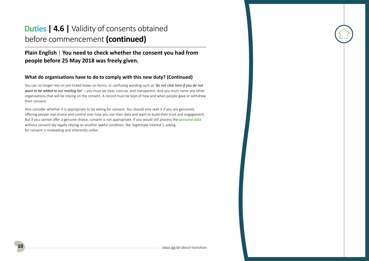# **Duties | 4.6 | Validity of consents obtained** before commencement **(continued)**

# **Plain English** | **You need to check whether the consent you had from people before 25 May 2018 was freely given.**

# **What do organisations have to do to comply with this new duty? (Continued)**

You can no longer rely on pre-ticked boxes on forms, or confusing wording such as *'do not click here if you do not want to be added to our mailing list'* – you must be clear, concise, and transparent. And you must name any other organisations that will be relying on the consent. A record must be kept of how and when people gave or withdrew their consent.

Also consider whether it is appropriate to be asking for consent. You should only seek it if you are genuinely offering people real choice and control over how you use their data and want to build their trust and engagement. But if you cannot offer a genuine choice, consent is not appropriate. If you would still process the **personal data** without consent (by legally relying on another lawful condition, like 'legitimate interest'), asking for consent is misleading and inherently unfair.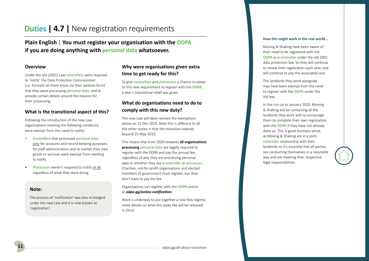# <span id="page-12-0"></span>**Duties | 4.7 | New registration requirements**

**Plain English** | **You must register your organisation with the ODPA if you are doing anything with personal data whatsoever.** 

#### **Overview**

Under the old (2001) Law **controllers** were required to 'notify' the Data Protection Commissioner (i.e. formally let them know via their website form) that they were processing **personal data**, and to provide certain details around the reasons for their processing.

#### **What is the transitional aspect of this?**

Following the introduction of the new Law, organisations meeting the following conditions were exempt from this need to notify:

- **• Controllers** that processed **personal data** only for accounts and record-keeping purposes, for staff administration and to market their own goods or services were exempt from needing to notify.
- **Processors** weren't required to notify at all, regardless of what they were doing.

#### **Note:**

The process of 'notification' was also re-badged under the new Law and it is now known as 'registration'.

# **Why were organisations given extra time to get ready for this?**

To give **controllers** and **processors** a chance to adapt to this new requirement to register with the **ODPA**, a year's transitional relief was given.

# **What do organisations need to do to comply with this new duty?**

The new Law will likely remove the exemptions above on 31 Dec 2019. Note this is different to all the other duties in that the transition extends beyond 25 May 2019.

This means that from 2020 onwards **all organisations processing personal data** are legally required to register with the ODPA and pay the annual fee, regardless of why they are processing personal data or whether they are a **controller** or **processor**. Charities, not-for-profit organisations and elected members of government must register, but they don't have to pay the fee.

Organisations can register with the **ODPA** online at *[odpa.gg/online-notification.](https://odpa.gg/online-notification/#/)* 

Work is underway to put together a new fees regime, more details on what this looks like will be released in 2019.

#### **How this might work in the real world...**

Moving & Shaking have been aware of their need to be registered with the **ODPA** as a **controller** under the old 2001 data protection law. So they will continue to renew their registration each year, and will continue to pay the associated cost.

The landlords they work alongside may have been exempt from the need to register with the **ODPA** under the old law.

In the run-up to January 2020, Moving & Shaking will be contacting all the landlords they work with to encourage them to complete their own registration with the **ODPA** if they have not already done so. This is good business sense, as Moving & Shaking are in a joint**controller** relationship with their landlords so it's essential that all parties are conducting themselves in a reputable way and are meeting their respective legal responsibilities.